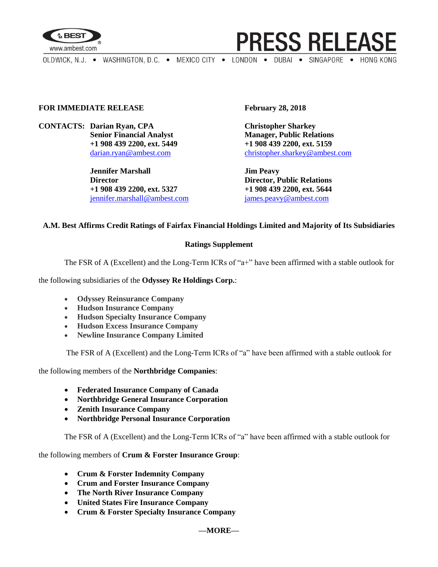

**PRESS RELEASE** 

OLDWICK, N.J. . WASHINGTON, D.C. . MEXICO CITY . LONDON . DUBAI . SINGAPORE . HONG KONG

#### **FOR IMMEDIATE RELEASE February 28, 2018**

**CONTACTS: Darian Ryan, CPA Christopher Sharkey**

**Jennifer Marshall Jim Peavy Director Director, Public Relations +1 908 439 2200, ext. 5327 +1 908 439 2200, ext. 5644** [jennifer.marshall@ambest.com](mailto:jennifer.marshall@ambest.com) [james.peavy@ambest.com](mailto:james.peavy@ambest.com)

**Senior Financial Analyst Manager, Public Relations +1 908 439 2200, ext. 5449 +1 908 439 2200, ext. 5159** [darian.ryan@ambest.com](mailto:darian.ryan@ambest.com) [christopher.sharkey@ambest.com](mailto:christopher.sharkey@ambest.com)

#### **A.M. Best Affirms Credit Ratings of Fairfax Financial Holdings Limited and Majority of Its Subsidiaries**

#### **Ratings Supplement**

The FSR of A (Excellent) and the Long-Term ICRs of "a+" have been affirmed with a stable outlook for

the following subsidiaries of the **Odyssey Re Holdings Corp.**:

- **Odyssey Reinsurance Company**
- **Hudson Insurance Company**
- **Hudson Specialty Insurance Company**
- **Hudson Excess Insurance Company**
- **Newline Insurance Company Limited**

The FSR of A (Excellent) and the Long-Term ICRs of "a" have been affirmed with a stable outlook for

the following members of the **Northbridge Companies**:

- **Federated Insurance Company of Canada**
- **Northbridge General Insurance Corporation**
- **Zenith Insurance Company**
- **Northbridge Personal Insurance Corporation**

The FSR of A (Excellent) and the Long-Term ICRs of "a" have been affirmed with a stable outlook for

the following members of **Crum & Forster Insurance Group**:

- **Crum & Forster Indemnity Company**
- **Crum and Forster Insurance Company**
- **The North River Insurance Company**
- **United States Fire Insurance Company**
- **Crum & Forster Specialty Insurance Company**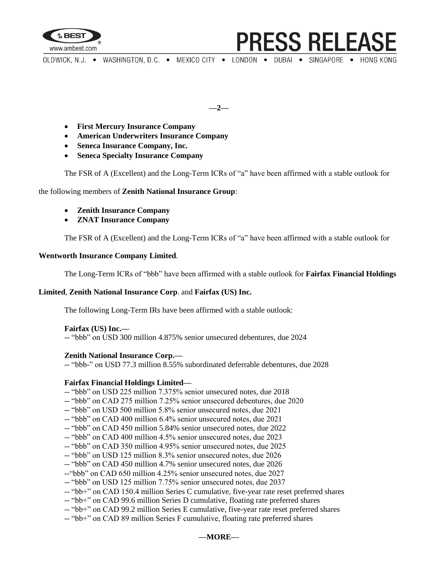

OLDWICK, N.J. . WASHINGTON, D.C. . MEXICO CITY . LONDON . DUBAI . SINGAPORE . HONG KONG

**PRESS RELEASE** 

**—2—**

- **First Mercury Insurance Company**
- **American Underwriters Insurance Company**
- **Seneca Insurance Company, Inc.**
- **Seneca Specialty Insurance Company**

The FSR of A (Excellent) and the Long-Term ICRs of "a" have been affirmed with a stable outlook for

the following members of **Zenith National Insurance Group**:

- **Zenith Insurance Company**
- **ZNAT Insurance Company**

The FSR of A (Excellent) and the Long-Term ICRs of "a" have been affirmed with a stable outlook for

# **Wentworth Insurance Company Limited**.

The Long-Term ICRs of "bbb" have been affirmed with a stable outlook for **Fairfax Financial Holdings** 

# **Limited**, **Zenith National Insurance Corp**. and **Fairfax (US) Inc.**

The following Long-Term IRs have been affirmed with a stable outlook:

# **Fairfax (US) Inc.—**

-- "bbb" on USD 300 million 4.875% senior unsecured debentures, due 2024

# **Zenith National Insurance Corp.—**

-- "bbb-" on USD 77.3 million 8.55% subordinated deferrable debentures, due 2028

# **Fairfax Financial Holdings Limited—**

- -- "bbb" on USD 225 million 7.375% senior unsecured notes, due 2018
- -- "bbb" on CAD 275 million 7.25% senior unsecured debentures, due 2020
- -- "bbb" on USD 500 million 5.8% senior unsecured notes, due 2021
- -- "bbb" on CAD 400 million 6.4% senior unsecured notes, due 2021
- -- "bbb" on CAD 450 million 5.84% senior unsecured notes, due 2022
- -- "bbb" on CAD 400 million 4.5% senior unsecured notes, due 2023
- -- "bbb" on CAD 350 million 4.95% senior unsecured notes, due 2025
- -- "bbb" on USD 125 million 8.3% senior unsecured notes, due 2026
- -- "bbb" on CAD 450 million 4.7% senior unsecured notes, due 2026
- --"bbb" on CAD 650 million 4.25% senior unsecured notes, due 2027
- -- "bbb" on USD 125 million 7.75% senior unsecured notes, due 2037
- -- "bb+" on CAD 150.4 million Series C cumulative, five-year rate reset preferred shares
- -- "bb+" on CAD 99.6 million Series D cumulative, floating rate preferred shares
- -- "bb+" on CAD 99.2 million Series E cumulative, five-year rate reset preferred shares
- -- "bb+" on CAD 89 million Series F cumulative, floating rate preferred shares